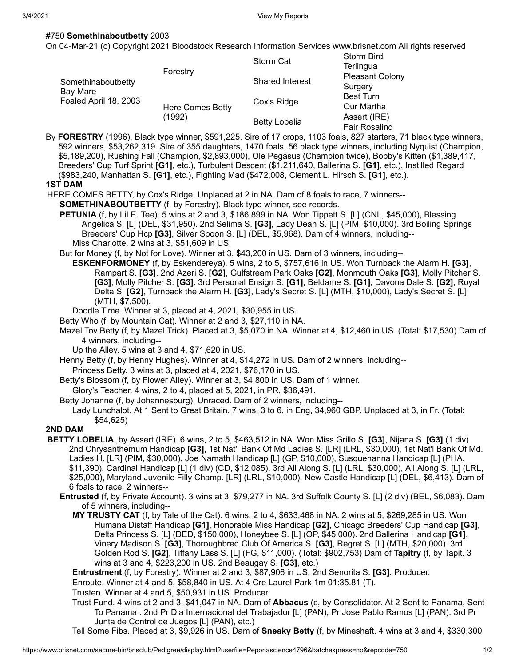# #750 **Somethinaboutbetty** 2003

On 04-Mar-21 (c) Copyright 2021 Bloodstock Research Information Services www.brisnet.com All rights reserved

| Somethinaboutbetty<br>Bay Mare<br>Foaled April 18, 2003 | Forestry                   | Storm Cat              | <b>Storm Bird</b><br>Terlingua       |
|---------------------------------------------------------|----------------------------|------------------------|--------------------------------------|
|                                                         |                            | <b>Shared Interest</b> | <b>Pleasant Colony</b><br>Surgery    |
|                                                         | Here Comes Betty<br>(1992) | Cox's Ridge            | <b>Best Turn</b><br>Our Martha       |
|                                                         |                            | <b>Betty Lobelia</b>   | Assert (IRE)<br><b>Fair Rosalind</b> |

By **FORESTRY** (1996), Black type winner, \$591,225. Sire of 17 crops, 1103 foals, 827 starters, 71 black type winners, 592 winners, \$53,262,319. Sire of 355 daughters, 1470 foals, 56 black type winners, including Nyquist (Champion, \$5,189,200), Rushing Fall (Champion, \$2,893,000), Ole Pegasus (Champion twice), Bobby's Kitten (\$1,389,417, Breeders' Cup Turf Sprint **[G1]**, etc.), Turbulent Descent (\$1,211,640, Ballerina S. **[G1]**, etc.), Instilled Regard (\$983,240, Manhattan S. **[G1]**, etc.), Fighting Mad (\$472,008, Clement L. Hirsch S. **[G1]**, etc.).

#### **1ST DAM**

HERE COMES BETTY, by Cox's Ridge. Unplaced at 2 in NA. Dam of 8 foals to race, 7 winners--

**SOMETHINABOUTBETTY** (f, by Forestry). Black type winner, see records.

**PETUNIA** (f, by Lil E. Tee). 5 wins at 2 and 3, \$186,899 in NA. Won Tippett S. [L] (CNL, \$45,000), Blessing Angelica S. [L] (DEL, \$31,950). 2nd Selima S. **[G3]**, Lady Dean S. [L] (PIM, \$10,000). 3rd Boiling Springs Breeders' Cup Hcp **[G3]**, Silver Spoon S. [L] (DEL, \$5,968). Dam of 4 winners, including-- Miss Charlotte. 2 wins at 3, \$51,609 in US.

But for Money (f, by Not for Love). Winner at 3, \$43,200 in US. Dam of 3 winners, including--

**ESKENFORMONEY** (f, by Eskendereya). 5 wins, 2 to 5, \$757,616 in US. Won Turnback the Alarm H. **[G3]**, Rampart S. **[G3]**. 2nd Azeri S. **[G2]**, Gulfstream Park Oaks **[G2]**, Monmouth Oaks **[G3]**, Molly Pitcher S. **[G3]**, Molly Pitcher S. **[G3]**. 3rd Personal Ensign S. **[G1]**, Beldame S. **[G1]**, Davona Dale S. **[G2]**, Royal Delta S. **[G2]**, Turnback the Alarm H. **[G3]**, Lady's Secret S. [L] (MTH, \$10,000), Lady's Secret S. [L] (MTH, \$7,500).

Doodle Time. Winner at 3, placed at 4, 2021, \$30,955 in US.

Betty Who (f, by Mountain Cat). Winner at 2 and 3, \$27,110 in NA.

Mazel Tov Betty (f, by Mazel Trick). Placed at 3, \$5,070 in NA. Winner at 4, \$12,460 in US. (Total: \$17,530) Dam of 4 winners, including--

Up the Alley. 5 wins at 3 and 4, \$71,620 in US.

Henny Betty (f, by Henny Hughes). Winner at 4, \$14,272 in US. Dam of 2 winners, including--

Princess Betty. 3 wins at 3, placed at 4, 2021, \$76,170 in US.

Betty's Blossom (f, by Flower Alley). Winner at 3, \$4,800 in US. Dam of 1 winner.

Glory's Teacher. 4 wins, 2 to 4, placed at 5, 2021, in PR, \$36,491.

Betty Johanne (f, by Johannesburg). Unraced. Dam of 2 winners, including-- Lady Lunchalot. At 1 Sent to Great Britain. 7 wins, 3 to 6, in Eng, 34,960 GBP. Unplaced at 3, in Fr. (Total: \$54,625)

# **2ND DAM**

- **BETTY LOBELIA**, by Assert (IRE). 6 wins, 2 to 5, \$463,512 in NA. Won Miss Grillo S. **[G3]**, Nijana S. **[G3]** (1 div). 2nd Chrysanthemum Handicap **[G3]**, 1st Nat'l Bank Of Md Ladies S. [LR] (LRL, \$30,000), 1st Nat'l Bank Of Md. Ladies H. [LR] (PIM, \$30,000), Joe Namath Handicap [L] (GP, \$10,000), Susquehanna Handicap [L] (PHA, \$11,390), Cardinal Handicap [L] (1 div) (CD, \$12,085). 3rd All Along S. [L] (LRL, \$30,000), All Along S. [L] (LRL, \$25,000), Maryland Juvenile Filly Champ. [LR] (LRL, \$10,000), New Castle Handicap [L] (DEL, \$6,413). Dam of 6 foals to race, 2 winners--
	- **Entrusted** (f, by Private Account). 3 wins at 3, \$79,277 in NA. 3rd Suffolk County S. [L] (2 div) (BEL, \$6,083). Dam of 5 winners, including--
		- **MY TRUSTY CAT** (f, by Tale of the Cat). 6 wins, 2 to 4, \$633,468 in NA. 2 wins at 5, \$269,285 in US. Won Humana Distaff Handicap **[G1]**, Honorable Miss Handicap **[G2]**, Chicago Breeders' Cup Handicap **[G3]**, Delta Princess S. [L] (DED, \$150,000), Honeybee S. [L] (OP, \$45,000). 2nd Ballerina Handicap **[G1]**, Vinery Madison S. **[G3]**, Thoroughbred Club Of America S. **[G3]**, Regret S. [L] (MTH, \$20,000). 3rd Golden Rod S. **[G2]**, Tiffany Lass S. [L] (FG, \$11,000). (Total: \$902,753) Dam of **Tapitry** (f, by Tapit. 3 wins at 3 and 4, \$223,200 in US. 2nd Beaugay S. **[G3]**, etc.)

**Entrustment** (f, by Forestry). Winner at 2 and 3, \$87,906 in US. 2nd Senorita S. **[G3]**. Producer.

Enroute. Winner at 4 and 5, \$58,840 in US. At 4 Cre Laurel Park 1m 01:35.81 (T).

Trusten. Winner at 4 and 5, \$50,931 in US. Producer.

Trust Fund. 4 wins at 2 and 3, \$41,047 in NA. Dam of **Abbacus** (c, by Consolidator. At 2 Sent to Panama, Sent To Panama . 2nd Pr Dia Internacional del Trabajador [L] (PAN), Pr Jose Pablo Ramos [L] (PAN). 3rd Pr Junta de Control de Juegos [L] (PAN), etc.)

Tell Some Fibs. Placed at 3, \$9,926 in US. Dam of **Sneaky Betty** (f, by Mineshaft. 4 wins at 3 and 4, \$330,300